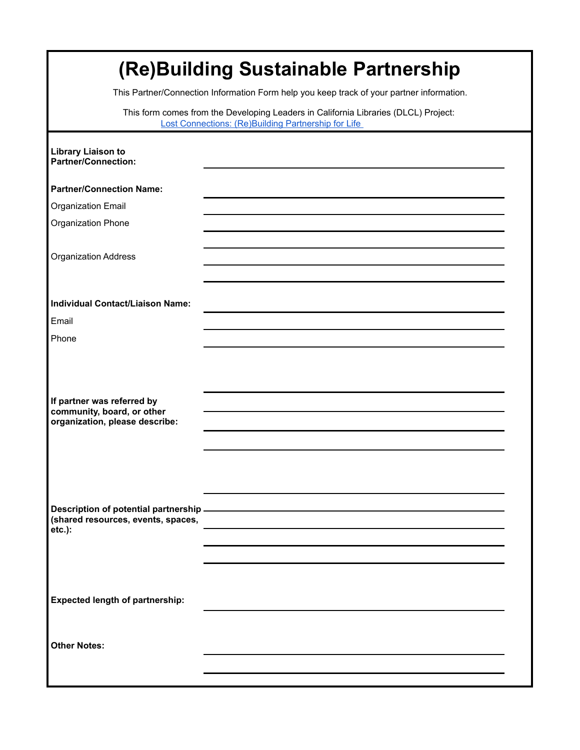| (Re)Building Sustainable Partnership<br>This Partner/Connection Information Form help you keep track of your partner information.          |  |  |  |
|--------------------------------------------------------------------------------------------------------------------------------------------|--|--|--|
| This form comes from the Developing Leaders in California Libraries (DLCL) Project:<br>Lost Connections: (Re)Building Partnership for Life |  |  |  |
| <b>Library Liaison to</b><br><b>Partner/Connection:</b>                                                                                    |  |  |  |
| <b>Partner/Connection Name:</b>                                                                                                            |  |  |  |
| Organization Email                                                                                                                         |  |  |  |
| Organization Phone                                                                                                                         |  |  |  |
| <b>Organization Address</b>                                                                                                                |  |  |  |
| <b>Individual Contact/Liaison Name:</b>                                                                                                    |  |  |  |
| Email                                                                                                                                      |  |  |  |
| Phone                                                                                                                                      |  |  |  |
| If partner was referred by<br>community, board, or other<br>organization, please describe:                                                 |  |  |  |
| Description of potential partnership -<br>(shared resources, events, spaces,<br>$etc.$ ):                                                  |  |  |  |
| <b>Expected length of partnership:</b>                                                                                                     |  |  |  |
| <b>Other Notes:</b>                                                                                                                        |  |  |  |
|                                                                                                                                            |  |  |  |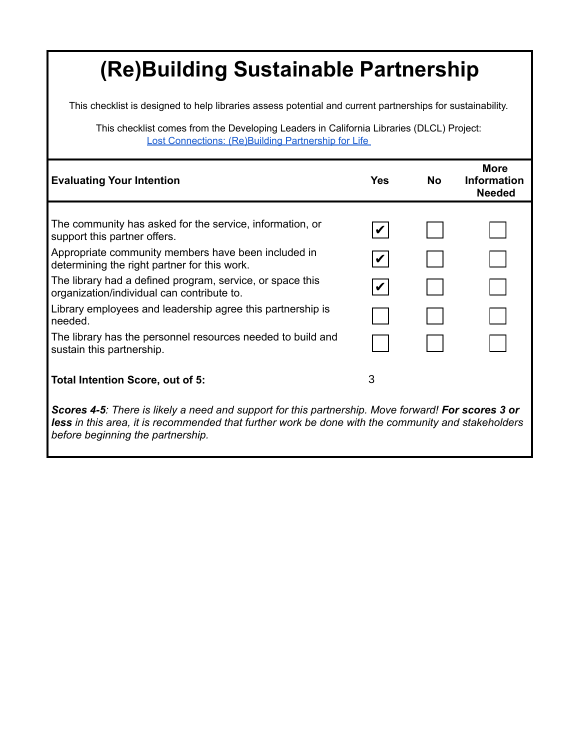This checklist is designed to help libraries assess potential and current partnerships for sustainability.

This checklist comes from the Developing Leaders in California Libraries (DLCL) Project: Lost Connections: (Re)Building Partnership for Life

| <b>Evaluating Your Intention</b>                                                                                                                                                                                | <b>Yes</b> | <b>No</b> | <b>More</b><br><b>Information</b><br><b>Needed</b> |
|-----------------------------------------------------------------------------------------------------------------------------------------------------------------------------------------------------------------|------------|-----------|----------------------------------------------------|
|                                                                                                                                                                                                                 |            |           |                                                    |
| The community has asked for the service, information, or<br>support this partner offers.                                                                                                                        |            |           |                                                    |
| Appropriate community members have been included in<br>determining the right partner for this work.                                                                                                             |            |           |                                                    |
| The library had a defined program, service, or space this<br>organization/individual can contribute to.                                                                                                         |            |           |                                                    |
| Library employees and leadership agree this partnership is<br>needed.                                                                                                                                           |            |           |                                                    |
| The library has the personnel resources needed to build and<br>sustain this partnership.                                                                                                                        |            |           |                                                    |
| Total Intention Score, out of 5:                                                                                                                                                                                | 3          |           |                                                    |
| Scores 4-5: There is likely a need and support for this partnership. Move forward! For scores 3 or<br><b>less</b> in this area, it is recommended that further work be done with the community and stakeholders |            |           |                                                    |

*before beginning the partnership.*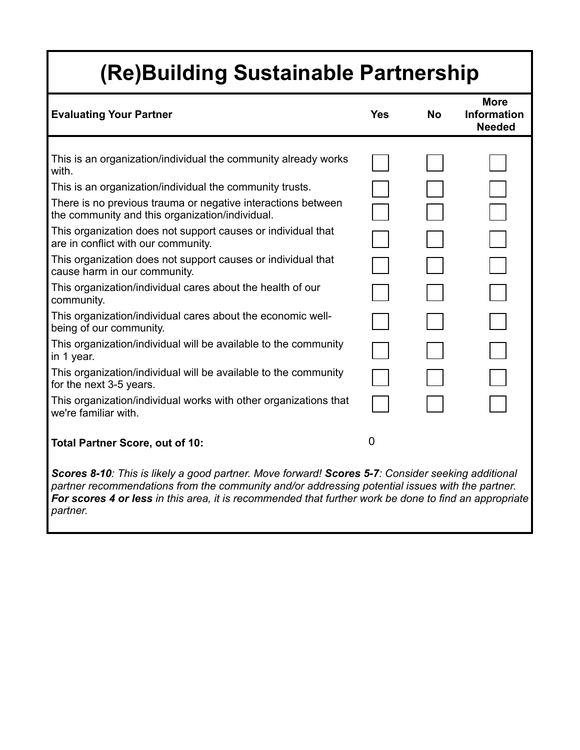| <b>Evaluating Your Partner</b>                                                                                  | <b>Yes</b> | <b>No</b> | <b>More</b><br><b>Information</b><br><b>Needed</b> |
|-----------------------------------------------------------------------------------------------------------------|------------|-----------|----------------------------------------------------|
|                                                                                                                 |            |           |                                                    |
| This is an organization/individual the community already works<br>with.                                         |            |           |                                                    |
| This is an organization/individual the community trusts.                                                        |            |           |                                                    |
| There is no previous trauma or negative interactions between<br>the community and this organization/individual. |            |           |                                                    |
| This organization does not support causes or individual that<br>are in conflict with our community.             |            |           |                                                    |
| This organization does not support causes or individual that<br>cause harm in our community.                    |            |           |                                                    |
| This organization/individual cares about the health of our<br>community.                                        |            |           |                                                    |
| This organization/individual cares about the economic well-<br>being of our community.                          |            |           |                                                    |
| This organization/individual will be available to the community<br>in 1 year.                                   |            |           |                                                    |
| This organization/individual will be available to the community<br>for the next 3-5 years.                      |            |           |                                                    |
| This organization/individual works with other organizations that<br>we're familiar with.                        |            |           |                                                    |
| <b>Total Partner Score, out of 10:</b>                                                                          | $\Omega$   |           |                                                    |
| 0.40. This is likely a mood no deep More fame                                                                   | 7.0.0001   |           | والمرتبة المالون والمرتبة والمراري                 |

*Scores 8-10: This is likely a good partner. Move forward! Scores 5-7: Consider seeking additional partner recommendations from the community and/or addressing potential issues with the partner. For scores 4 or less in this area, it is recommended that further work be done to find an appropriate partner.*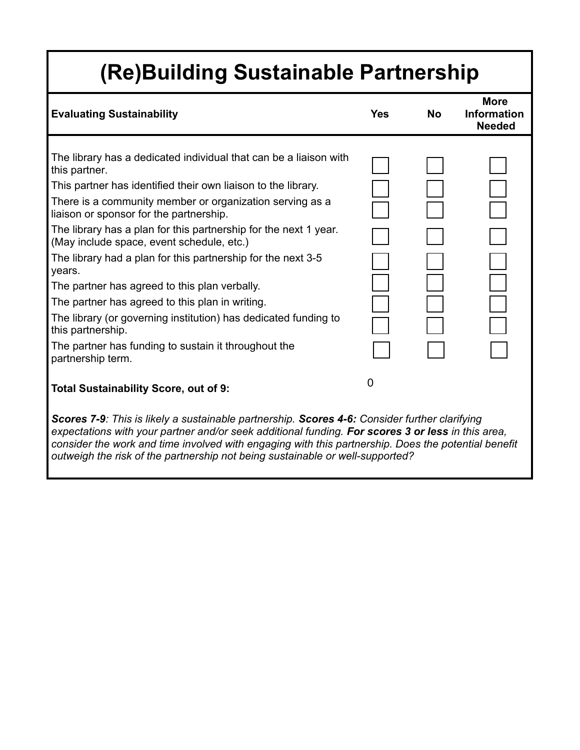| <b>Evaluating Sustainability</b>                                                                              | <b>Yes</b> | <b>No</b> | <b>More</b><br><b>Information</b><br><b>Needed</b> |
|---------------------------------------------------------------------------------------------------------------|------------|-----------|----------------------------------------------------|
|                                                                                                               |            |           |                                                    |
| The library has a dedicated individual that can be a liaison with<br>this partner.                            |            |           |                                                    |
| This partner has identified their own liaison to the library.                                                 |            |           |                                                    |
| There is a community member or organization serving as a<br>liaison or sponsor for the partnership.           |            |           |                                                    |
| The library has a plan for this partnership for the next 1 year.<br>(May include space, event schedule, etc.) |            |           |                                                    |
| The library had a plan for this partnership for the next 3-5<br>years.                                        |            |           |                                                    |
| The partner has agreed to this plan verbally.                                                                 |            |           |                                                    |
| The partner has agreed to this plan in writing.                                                               |            |           |                                                    |
| The library (or governing institution) has dedicated funding to<br>this partnership.                          |            |           |                                                    |
| The partner has funding to sustain it throughout the<br>partnership term.                                     |            |           |                                                    |
| <b>Total Sustainability Score, out of 9:</b>                                                                  | 0          |           |                                                    |
| Scores 7-9: This is likely a sustainable partnership. Scores 4-6: Consider further clarifying                 |            |           |                                                    |

*expectations with your partner and/or seek additional funding. For scores 3 or less in this area, consider the work and time involved with engaging with this partnership. Does the potential benefit outweigh the risk of the partnership not being sustainable or well-supported?*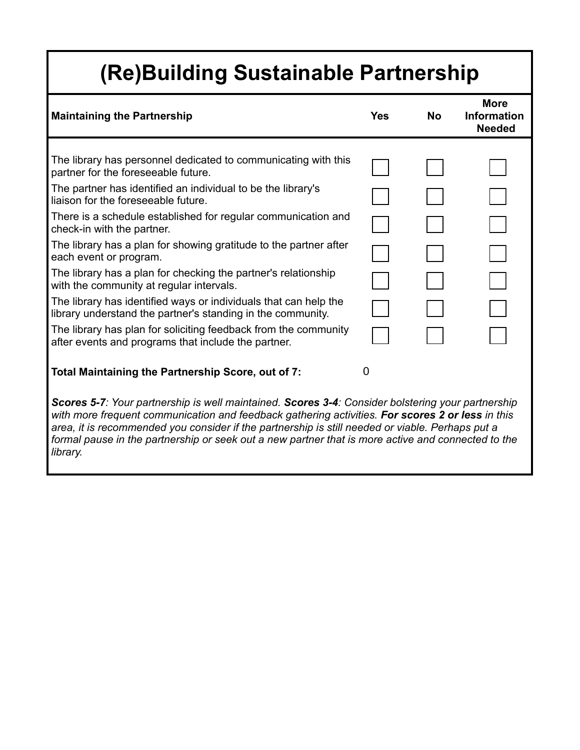| <b>Maintaining the Partnership</b>                                                                                                                                                                                                                                                                        | <b>Yes</b> | <b>No</b> | <b>More</b><br><b>Information</b><br><b>Needed</b> |
|-----------------------------------------------------------------------------------------------------------------------------------------------------------------------------------------------------------------------------------------------------------------------------------------------------------|------------|-----------|----------------------------------------------------|
|                                                                                                                                                                                                                                                                                                           |            |           |                                                    |
| The library has personnel dedicated to communicating with this<br>partner for the foreseeable future.                                                                                                                                                                                                     |            |           |                                                    |
| The partner has identified an individual to be the library's<br>liaison for the foreseeable future.                                                                                                                                                                                                       |            |           |                                                    |
| There is a schedule established for regular communication and<br>check-in with the partner.                                                                                                                                                                                                               |            |           |                                                    |
| The library has a plan for showing gratitude to the partner after<br>each event or program.                                                                                                                                                                                                               |            |           |                                                    |
| The library has a plan for checking the partner's relationship<br>with the community at regular intervals.                                                                                                                                                                                                |            |           |                                                    |
| The library has identified ways or individuals that can help the<br>library understand the partner's standing in the community.                                                                                                                                                                           |            |           |                                                    |
| The library has plan for soliciting feedback from the community<br>after events and programs that include the partner.                                                                                                                                                                                    |            |           |                                                    |
| Total Maintaining the Partnership Score, out of 7:                                                                                                                                                                                                                                                        | 0          |           |                                                    |
| Scores 5-7: Your partnership is well maintained. Scores 3-4: Consider bolstering your partnership<br>with more frequent communication and feedback gathering activities. For scores 2 or less in this<br>area, it is recommended you consider if the partnership is still needed or viable. Perhaps put a |            |           |                                                    |

*area, it is recommended you consider if the partnership is still needed or viable. Perhaps put a formal pause in the partnership or seek out a new partner that is more active and connected to the library.*